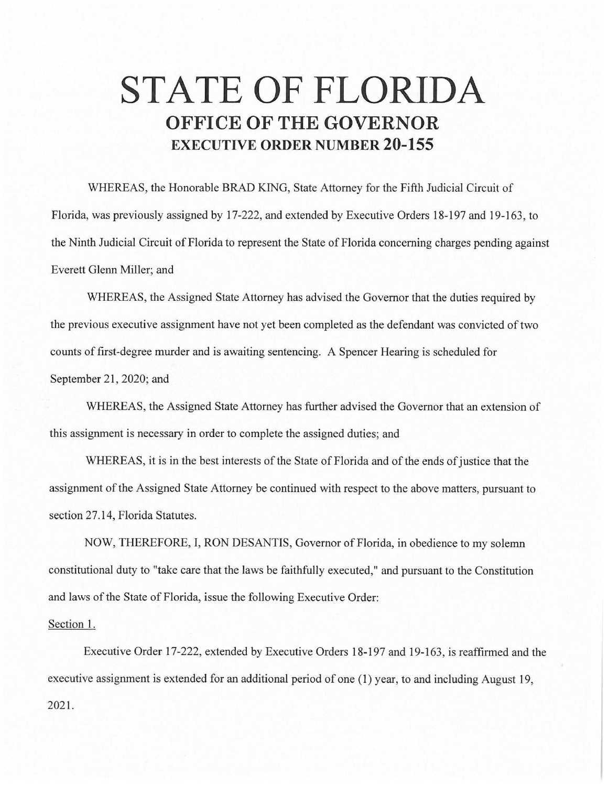## **STATE OF FLORIDA OFFICE OF THE GOVERNOR EXECUTIVE ORDER NUMBER 20-155**

WHEREAS, the Honorable BRAD KING, State Attorney for the Fifth Judicial Circuit of Florida, was previously assigned by 17-222, and extended by Executive Orders 18-197 and 19-163, to the Ninth Judicial Circuit of Florida to represent the State of Florida concerning charges pending against Everett Glenn Miller; and

WHEREAS, the Assigned State Attorney has advised the Governor that the duties required by the previous executive assignment have not yet been completed as the defendant was convicted of two counts of first-degree murder and is awaiting sentencing. A Spencer Hearing is scheduled for September 21, 2020; and

WHEREAS, the Assigned State Attorney has further advised the Governor that an extension of this assignment is necessary in order to complete the assigned duties; and

WHEREAS, it is in the best interests of the State of Florida and of the ends of justice that the assignment of the Assigned State Attorney be continued with respect to the above matters, pursuant to section 27.14, Florida Statutes.

NOW, THEREFORE, I, RON DESANTIS, Governor of Florida, in obedience to my solemn constitutional duty to "take care that the laws be faithfully executed," and pursuant to the Constitution and laws of the State of Florida, issue the following Executive Order:

## Section 1.

Executive Order 17-222, extended by Executive Orders 18-197 and 19-163, is reaffirmed and the executive assignment is extended for an additional period of one (1) year, to and including August 19, 2021.